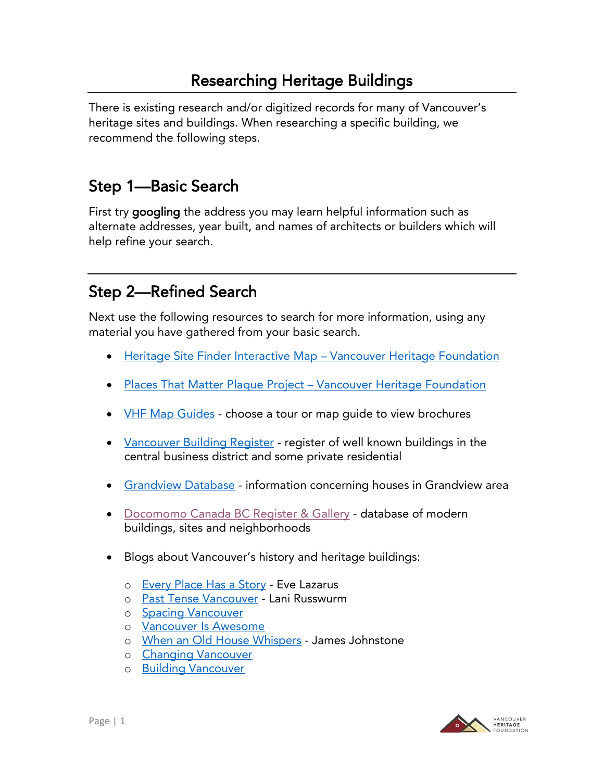## Researching Heritage Buildings

There is existing research and/or digitized records for many of Vancouver's heritage sites and buildings. When researching a specific building, we recommend the following steps.

## Step 1—Basic Search

First try googling the address you may learn helpful information such as alternate addresses, year built, and names of architects or builders which will help refine your search.

# Step 2—Refined Search

Next use the following resources to search for more information, using any material you have gathered from your basic search.

- [Heritage Site Finder Interactive Map](https://www.heritagesitefinder.ca/)  Vancouver Heritage Foundation
- [Places That Matter Plaque Project](https://www.placesthatmatter.ca/)  Vancouver Heritage Foundation
- <u>[VHF Map Guides](https://www.vancouverheritagefoundation.org/discover-heritage/map-guides/)</u> choose a tour or map guide to view brochures
- <u>[Vancouver Building Register](https://www.vpl.ca/digital-library/vancouver-building-register?msclkid=32659ec4c4f011eca2819848e50fe9aa)</u> register of well known buildings in the central business district and some private residential
- [Grandview Database](https://grandviewheritagegroup.ca/grandview-database/) information concerning houses in Grandview area
- [Docomomo Canada BC Register & Gallery](http://docomomo.ca/bc/modern-map/) database of modern buildings, sites and neighborhoods
- Blogs about Vancouver's history and heritage buildings:
	- o [Every Place Has a Story](http://evelazarus.com/) Eve Lazarus
	- o [Past Tense Vancouver](https://pasttensevancouver.wordpress.com/) Lani Russwurm
	- o **[Spacing Vancouver](http://spacing.ca/vancouver/)**
	- o [Vancouver Is Awesome](http://vancouverisawesome.com/category/vancouverwasawesome/)
	- o [When an Old House Whispers](http://househistorian.blogspot.ca/) James Johnstone
	- o [Changing Vancouver](https://changingvancouver.wordpress.com/)
	- o [Building Vancouver](https://buildingvancouver.wordpress.com/)

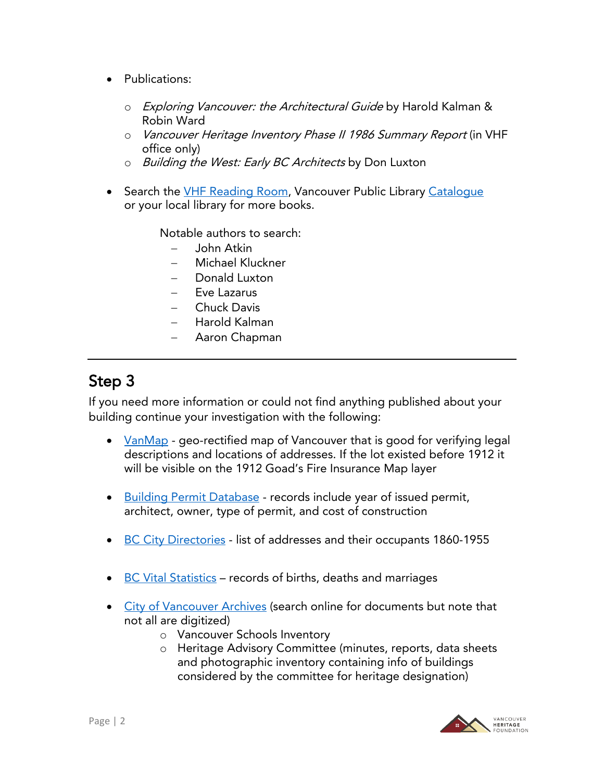- Publications:
	- o Exploring Vancouver: the Architectural Guide by Harold Kalman & Robin Ward
	- o Vancouver Heritage Inventory Phase II 1986 Summary Report (in VHF office only)
	- o Building the West: Early BC Architects by Don Luxton
- Search the [VHF Reading Room,](http://www.vancouverheritagefoundation.org/reading-room/) Vancouver Public Library Catalogue or your local library for more books.

Notable authors to search:

- − John Atkin
- − Michael Kluckner
- − Donald Luxton
- Eve Lazarus
- − Chuck Davis
- − Harold Kalman
- − Aaron Chapman

#### Step 3

If you need more information or could not find anything published about your building continue your investigation with the following:

- [VanMap](http://vancouver.ca/your-government/vanmap.aspx) geo-rectified map of Vancouver that is good for verifying legal descriptions and locations of addresses. If the lot existed before 1912 it will be visible on the 1912 Goad's Fire Insurance Map layer
- [Building Permit Database](http://permits.heritagevancouver.org/) records include year of issued permit, architect, owner, type of permit, and cost of construction
- [BC City Directories](https://bccd.vpl.ca/?msclkid=87ea0ccec4f111ec8c528792d2262312) list of addresses and their occupants 1860-1955
- [BC Vital Statistics](http://search-collections.royalbcmuseum.bc.ca/Genealogy) records of births, deaths and marriages
- [City of Vancouver Archives](http://vancouver.ca/your-government/discover-your-homes-history.aspx) (search online for documents but note that not all are digitized)
	- o Vancouver Schools Inventory
	- o Heritage Advisory Committee (minutes, reports, data sheets and photographic inventory containing info of buildings considered by the committee for heritage designation)

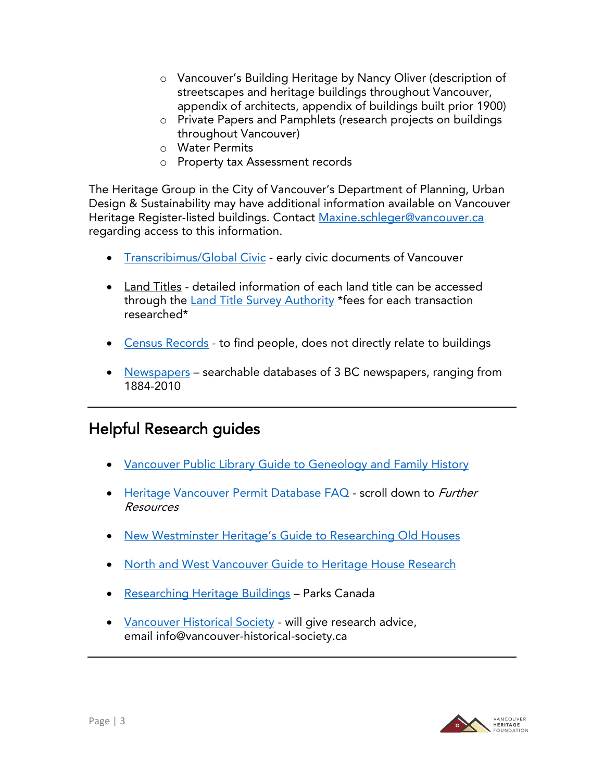- o Vancouver's Building Heritage by Nancy Oliver (description of streetscapes and heritage buildings throughout Vancouver, appendix of architects, appendix of buildings built prior 1900)
- o Private Papers and Pamphlets (research projects on buildings throughout Vancouver)
- o Water Permits
- o Property tax Assessment records

The Heritage Group in the City of Vancouver's Department of Planning, Urban Design & Sustainability may have additional information available on Vancouver Heritage Register-listed buildings. Contact [Maxine.schleger@vancouver.ca](mailto:Maxine.schleger@vancouver.ca) regarding access to this information.

- [Transcribimus/Global Civic](https://transcribimus.ca/our-work/) early civic documents of Vancouver
- Land Titles detailed information of each land title can be accessed through the [Land Title Survey Authority](https://ltsa.ca/) \*fees for each transaction researched\*
- [Census Records](http://www.bac-lac.gc.ca/eng/census/Pages/census.aspx) to find people, does not directly relate to buildings
- [Newspapers](https://go.proquest.com/Access_BCHistoricalNewspapers/) searchable databases of 3 BC newspapers, ranging from 1884-2010

## Helpful Research guides

- [Vancouver Public Library Guide to Geneology](https://www.vpl.ca/guide/genealogy-and-family-history?msclkid=edec7560c4f111ecbed01858fc78d626) and Family History
- [Heritage Vancouver Permit Database FAQ](http://permits.heritagevancouver.org/faq/) scroll down to Further Resources
- New Westminster Heritage'[s Guide to Researching Old Houses](http://www.nwheritage.org/heritagesite/homes/content/research.htm)
- [North and West Vancouver Guide to Heritage House Research](https://www.northshoreheritage.org/research-your-home)
- [Researching Heritage Buildings](http://parkscanadahistory.com/series/saah/researching-heritage-buildings-1983.pdf) Parks Canada
- <u>[Vancouver Historical Society](http://www.vancouver-historical-society.ca/)</u> will give research advice, email [info@vancouver-historical-society.ca](mailto:info@vancouver-historical-society.ca)